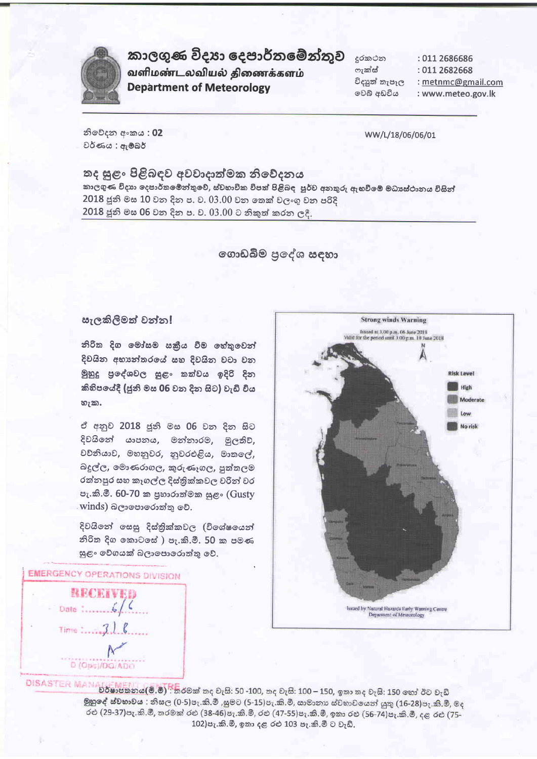

## කාලගුණ විදාහ දෙපාර්තමේන්තුව

வளிமண்டலவியல் திணைக்களம் **Department of Meteorology** 

දුරකථන ෆැක්ස් විදාෘත් තැපෑල වෙබ් අඩවිය

: 011 2686686 : 011 2682668

: metnmc@gmail.com

: www.meteo.gov.lk

නිවේදන අංකය: 02 වර්ණය : ඇම්බර්

WW/L/18/06/06/01

## තද සුළං පිළිබඳව අවවාදාත්මක නිවේදනය කාලගුණ විදාහ දෙපාර්තමෙන්තුවේ, ස්වභාවික විපත් පිළිබඳ පූර්ව අනතුරු ඇහවීමේ මධාසේථානය විසින්

2018 ජූනි මස 10 වන දින ප. ව. 03.00 වන කෙක් වලංගු වන පරිදි

2018 ජූනි මස 06 වන දින ප. ව. 03.00 ට නිකුත් කරන ලදී.

ගොඩබිම පුදේශ සඳහා

### සැලකිලිමත් වන්න!

නිරිත දිග මෝසම සකීය වීම හේතුවෙන් දිවයින අභාන්තරයේ සහ දිවයින වටා වන මුහුදු පුදේශවල සුළං තත්වය ඉදිරි දින කිහිපයේදී (ජූනි මස 06 වන දින සිට) වැඩි විය හැක.

ඒ අනුව 2018 ජූනි මස 06 වන දින සිට දිවයිනේ යාපනය, මන්නාරම, මූලතිව්, වවිනියාව, මහනුවර, නුවරඑළිය, මාතලේ, බදුල්ල, මොණරාගල, කුරුණෑගල, පුත්තලම රත්නපුර සහ කෑගල්ල දිස්තික්කවල වරින් වර පැ.කි.මී. 60-70 ක පුහාරාත්මක සුළං (Gusty winds) බලාපොරොත්තු වේ.

දිවයිනේ සෙසු දිස්තික්කවල (විශේෂයෙන් නිරිත දිග කොටසේ ) පැ.කි.මී. 50 ක පමණ සුළං වේගයක් බලාපොරොත්තු වේ.

**EMERGENCY OPERATIONS DIVISION** 





 $0.015ASTER$  MAN  $0.0016B$   $0.0008B$  me  $0.006B$  me  $0.007B$  me  $0.009B$  me  $0.009B$  me  $0.001B$ මුහුදේ ස්වභාවය : නිසල (0-5)පැ.කි.මී ,සුමට (5-15)පැ.කි.මී, සාමානා ස්වභාවයෙන් යුතු (16-28)පැ.කි.මී, මද රළු (29-37)පැ.කි.මී, තරමක් රළු (38-46)පැ.කි.මී, රළු (47-55)පැ.කි.මී, ඉතා රළු (56-74)පැ.කි.මී, දළ රළු (75-102) පැ.කි.මී, ඉතා දළ රළු 103 පැ.කි.මී ට වැඩි.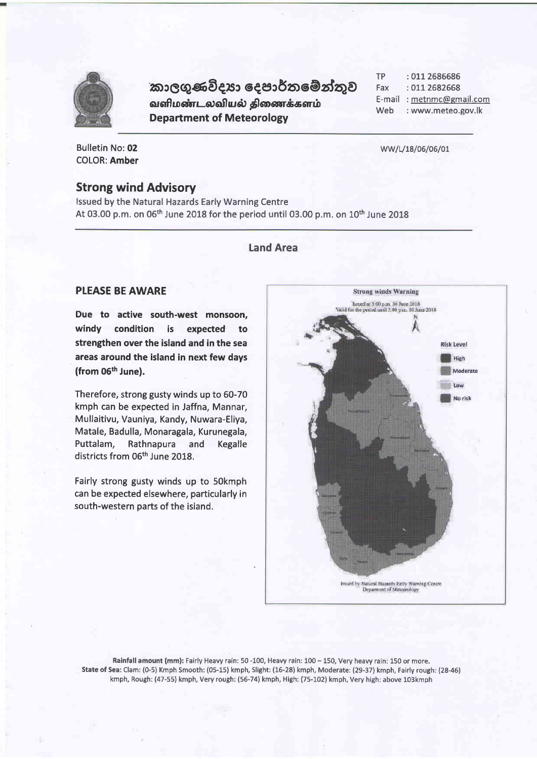

# කාලගුණවිදයා දෙපාර්තමේන්තුව

வளிமண்டலவியல் திணைக்களம் **Department of Meteorology** 

**TP** : 011 2686686 Fax : 011 2682668 E-mail: metnmc@gmail.com Web : www.meteo.gov.lk

WW/L/18/06/06/01

Bulletin No: 02 COLOR: Amber

#### **Strong wind Advisory**

Issued by the Natural Hazards Early Warning Centre At 03.00 p.m. on 06<sup>th</sup> June 2018 for the period until 03.00 p.m. on 10<sup>th</sup> June 2018

### **Land Area**

### **PLEASE BE AWARE**

Due to active south-west monsoon. windy condition is expected to strengthen over the island and in the sea areas around the island in next few days (from 06<sup>th</sup> June).

Therefore, strong gusty winds up to 60-70 kmph can be expected in Jaffna, Mannar, Mullaitivu, Vauniya, Kandy, Nuwara-Eliya, Matale, Badulla, Monaragala, Kurunegala, Puttalam. Rathnapura and Kegalle districts from 06<sup>th</sup> June 2018.

Fairly strong gusty winds up to 50kmph can be expected elsewhere, particularly in south-western parts of the island.



Rainfall amount (mm): Fairly Heavy rain: 50 -100, Heavy rain: 100 - 150, Very heavy rain: 150 or more. State of Sea: Clam: (0-5) Kmph Smooth: (05-15) kmph, Slight: (16-28) kmph, Moderate: (29-37) kmph, Fairly rough: (28-46) kmph, Rough: (47-55) kmph, Very rough: (56-74) kmph, High: (75-102) kmph, Very high: above 103kmph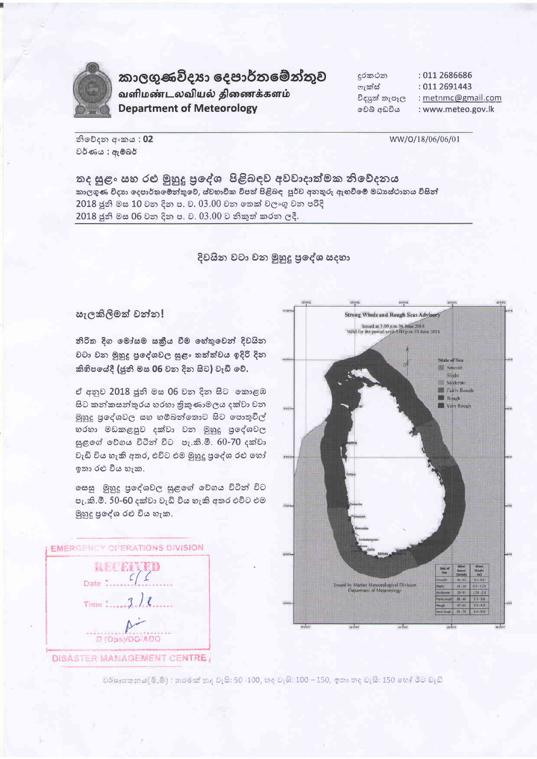

කාලගුණවිදා දෙපාර්තමේන්තුව வளிமண்டலவியல் திணைக்களம் **Department of Meteorology** 

දුරකථන : 011 2686686 ෆැක්ස් : 011 2691443 : metnmc@gmail.com විදාහේ තැපෑල වෙබ් අඩවිය : www.meteo.gov.lk

නිවේදන අංකය: 02 වර්ණය : ඇම්බර්

WW/0/18/06/06/01

තද සුළං සහ රළු මුහුදු පුදේශ පිළිබඳව අවවාදාත්මක නිවේදනය කාලගුණ විදාහ දෙපාර්තමේන්තුවේ, ස්වභාවික විපත් පිළිබඳ පූර්ව අනතුරු ඇහවීමේ මධාසේථානය විසින් 2018 ජුනි මස 10 වන දින ප. ව. 03.00 වන තෙක් වලංගු වන පරිදි 2018 ජූනි මස 06 වන දින ප. ව. 03.00 ට නිකුත් කරන ලදී.

දිවයින වටා වන මුහුදු පුදේශ සදහා

#### සැලකිලීමත් වන්න!

නිරිත දිග මෝසම සකීය වීම හේතුවෙන් දිවයින වටා වන මුහුදු පුදේශවල සුළං තත්ත්වය ඉදිරි දින කිහිපයේදී (ජූනි මස 06 වන දින සිට) වැඩි වේ.

ඒ අනුව 2018 ජූනි මස 06 වන දින සිට කොළඹ සිට කන්කසන්තුරය හරහා තිකුණාමලය දක්වා වන මුහුදු පුදේශවල සහ හම්බන්තොට සිට පොතුවිල් හරහා මඩකළපුව දක්වා වන මුහුදු පුදේශවල සුළගේ වේගය විටින් විට පැ.කි.මී. 60-70 දක්වා වැඩි විය හැකි අතර, එවිට එම මුහුදු පුදේශ රළු හෝ ඉතා රළු විය හැක.

ගසසු මුහුදු පුදේශවල සුළගේ වේගය විටින් විට පැ.කි.මී. 50-60 දක්වා වැඩි විය හැකි අතර එවිට එම මුහුදු පුදේශ රළු විය හැක.

**EMERGENCY OPERATIONS DIVISION** 

**BALLARY** Date:  $\frac{c}{c}$ Time :.... D (Ops)/DO/ADO DISASTER MANAGEMENT CENTRE,



වර්ෂාපනනය(මි.මී) : තරමක් කද වැසි: 50 -100, කද වැසි: 100 – 150, ඉතා තද වැසි: 150 හෝ ඊට වැඩි